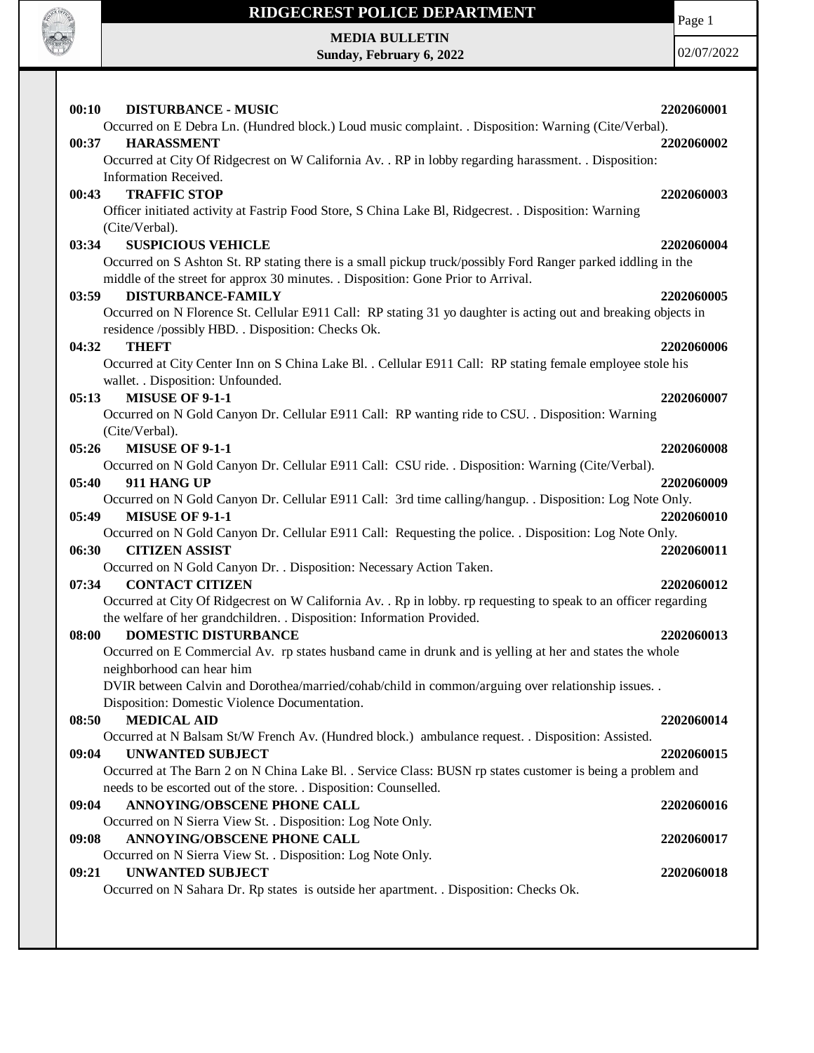

## **RIDGECREST POLICE DEPARTMENT MEDIA BULLETIN**

**Sunday, February 6, 2022**

Page 1

| 00:10<br><b>DISTURBANCE - MUSIC</b>                                                                                       | 2202060001 |
|---------------------------------------------------------------------------------------------------------------------------|------------|
| Occurred on E Debra Ln. (Hundred block.) Loud music complaint. . Disposition: Warning (Cite/Verbal).                      |            |
| <b>HARASSMENT</b><br>00:37                                                                                                | 2202060002 |
| Occurred at City Of Ridgecrest on W California Av. . RP in lobby regarding harassment. . Disposition:                     |            |
| Information Received.                                                                                                     |            |
| <b>TRAFFIC STOP</b><br>00:43                                                                                              | 2202060003 |
| Officer initiated activity at Fastrip Food Store, S China Lake Bl, Ridgecrest. . Disposition: Warning                     |            |
| (Cite/Verbal).                                                                                                            |            |
| <b>SUSPICIOUS VEHICLE</b><br>03:34                                                                                        | 2202060004 |
| Occurred on S Ashton St. RP stating there is a small pickup truck/possibly Ford Ranger parked iddling in the              |            |
| middle of the street for approx 30 minutes. . Disposition: Gone Prior to Arrival.                                         |            |
| 03:59<br><b>DISTURBANCE-FAMILY</b>                                                                                        | 2202060005 |
| Occurred on N Florence St. Cellular E911 Call: RP stating 31 yo daughter is acting out and breaking objects in            |            |
| residence /possibly HBD. . Disposition: Checks Ok.                                                                        |            |
| 04:32<br><b>THEFT</b>                                                                                                     | 2202060006 |
| Occurred at City Center Inn on S China Lake Bl. . Cellular E911 Call: RP stating female employee stole his                |            |
| wallet. . Disposition: Unfounded.                                                                                         |            |
| <b>MISUSE OF 9-1-1</b><br>05:13                                                                                           | 2202060007 |
| Occurred on N Gold Canyon Dr. Cellular E911 Call: RP wanting ride to CSU. . Disposition: Warning                          |            |
| (Cite/Verbal).                                                                                                            |            |
| <b>MISUSE OF 9-1-1</b><br>05:26                                                                                           | 2202060008 |
| Occurred on N Gold Canyon Dr. Cellular E911 Call: CSU ride. . Disposition: Warning (Cite/Verbal).<br>05:40<br>911 HANG UP | 2202060009 |
| Occurred on N Gold Canyon Dr. Cellular E911 Call: 3rd time calling/hangup. . Disposition: Log Note Only.                  |            |
| 05:49<br><b>MISUSE OF 9-1-1</b>                                                                                           | 2202060010 |
| Occurred on N Gold Canyon Dr. Cellular E911 Call: Requesting the police. . Disposition: Log Note Only.                    |            |
| 06:30<br><b>CITIZEN ASSIST</b>                                                                                            | 2202060011 |
| Occurred on N Gold Canyon Dr. . Disposition: Necessary Action Taken.                                                      |            |
| <b>CONTACT CITIZEN</b><br>07:34                                                                                           | 2202060012 |
| Occurred at City Of Ridgecrest on W California Av. . Rp in lobby. rp requesting to speak to an officer regarding          |            |
| the welfare of her grandchildren. . Disposition: Information Provided.                                                    |            |
| <b>DOMESTIC DISTURBANCE</b><br>08:00                                                                                      | 2202060013 |
| Occurred on E Commercial Av. rp states husband came in drunk and is yelling at her and states the whole                   |            |
| neighborhood can hear him                                                                                                 |            |
| DVIR between Calvin and Dorothea/married/cohab/child in common/arguing over relationship issues. .                        |            |
| Disposition: Domestic Violence Documentation.                                                                             |            |
| 08:50<br><b>MEDICAL AID</b>                                                                                               | 2202060014 |
| Occurred at N Balsam St/W French Av. (Hundred block.) ambulance request. . Disposition: Assisted.                         |            |
| 09:04<br><b>UNWANTED SUBJECT</b>                                                                                          | 2202060015 |
| Occurred at The Barn 2 on N China Lake Bl. . Service Class: BUSN rp states customer is being a problem and                |            |
| needs to be escorted out of the store. . Disposition: Counselled.                                                         |            |
| ANNOYING/OBSCENE PHONE CALL<br>09:04                                                                                      | 2202060016 |
| Occurred on N Sierra View St. . Disposition: Log Note Only.                                                               |            |
| ANNOYING/OBSCENE PHONE CALL<br>09:08                                                                                      | 2202060017 |
| Occurred on N Sierra View St. . Disposition: Log Note Only.                                                               |            |
| <b>UNWANTED SUBJECT</b><br>09:21                                                                                          | 2202060018 |
| Occurred on N Sahara Dr. Rp states is outside her apartment. . Disposition: Checks Ok.                                    |            |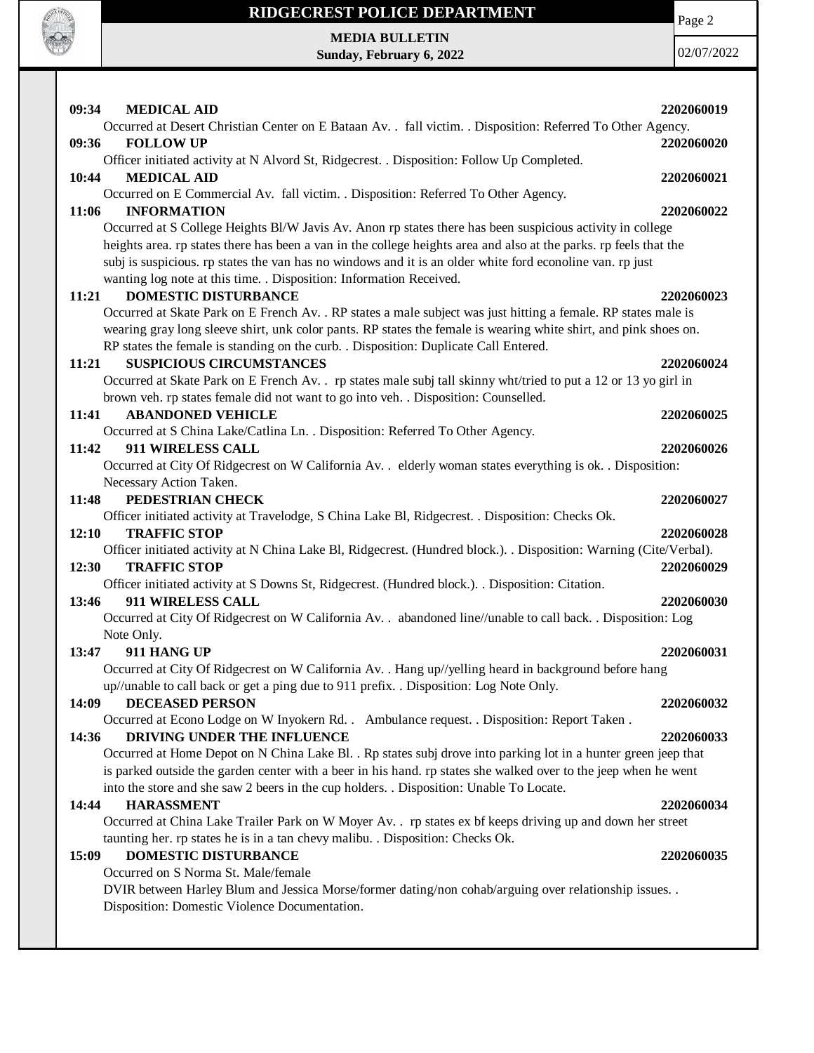

## **RIDGECREST POLICE DEPARTMENT**

Page 2

**MEDIA BULLETIN Sunday, February 6, 2022**

| 09:34<br><b>MEDICAL AID</b>                                                                                                | 2202060019 |
|----------------------------------------------------------------------------------------------------------------------------|------------|
| Occurred at Desert Christian Center on E Bataan Av. . fall victim. . Disposition: Referred To Other Agency.                |            |
| <b>FOLLOW UP</b><br>09:36                                                                                                  | 2202060020 |
| Officer initiated activity at N Alvord St, Ridgecrest. . Disposition: Follow Up Completed.                                 |            |
| <b>MEDICAL AID</b><br>10:44                                                                                                | 2202060021 |
| Occurred on E Commercial Av. fall victim. . Disposition: Referred To Other Agency.                                         |            |
| <b>INFORMATION</b><br>11:06                                                                                                | 2202060022 |
| Occurred at S College Heights Bl/W Javis Av. Anon rp states there has been suspicious activity in college                  |            |
| heights area. rp states there has been a van in the college heights area and also at the parks. rp feels that the          |            |
| subj is suspicious. rp states the van has no windows and it is an older white ford econoline van. rp just                  |            |
| wanting log note at this time. . Disposition: Information Received.                                                        |            |
| <b>DOMESTIC DISTURBANCE</b><br>11:21                                                                                       | 2202060023 |
| Occurred at Skate Park on E French Av. . RP states a male subject was just hitting a female. RP states male is             |            |
| wearing gray long sleeve shirt, unk color pants. RP states the female is wearing white shirt, and pink shoes on.           |            |
| RP states the female is standing on the curb. . Disposition: Duplicate Call Entered.                                       |            |
| <b>SUSPICIOUS CIRCUMSTANCES</b><br>11:21                                                                                   | 2202060024 |
| Occurred at Skate Park on E French Av. . rp states male subj tall skinny wht/tried to put a 12 or 13 yo girl in            |            |
| brown veh. rp states female did not want to go into veh. . Disposition: Counselled.                                        |            |
| <b>ABANDONED VEHICLE</b><br>11:41                                                                                          | 2202060025 |
| Occurred at S China Lake/Catlina Ln. . Disposition: Referred To Other Agency.                                              |            |
| 911 WIRELESS CALL<br>11:42                                                                                                 | 2202060026 |
| Occurred at City Of Ridgecrest on W California Av. . elderly woman states everything is ok. . Disposition:                 |            |
| Necessary Action Taken.                                                                                                    |            |
| 11:48<br>PEDESTRIAN CHECK                                                                                                  | 2202060027 |
| Officer initiated activity at Travelodge, S China Lake Bl, Ridgecrest. . Disposition: Checks Ok.                           |            |
| <b>TRAFFIC STOP</b><br>12:10                                                                                               | 2202060028 |
| Officer initiated activity at N China Lake Bl, Ridgecrest. (Hundred block.). . Disposition: Warning (Cite/Verbal).         |            |
| <b>TRAFFIC STOP</b><br>12:30                                                                                               | 2202060029 |
| Officer initiated activity at S Downs St, Ridgecrest. (Hundred block.). . Disposition: Citation.<br>911 WIRELESS CALL      |            |
| 13:46                                                                                                                      | 2202060030 |
| Occurred at City Of Ridgecrest on W California Av. . abandoned line//unable to call back. . Disposition: Log<br>Note Only. |            |
| 911 HANG UP<br>13:47                                                                                                       | 2202060031 |
| Occurred at City Of Ridgecrest on W California Av. . Hang up//yelling heard in background before hang                      |            |
| up//unable to call back or get a ping due to 911 prefix. . Disposition: Log Note Only.                                     |            |
| 14:09<br><b>DECEASED PERSON</b>                                                                                            | 2202060032 |
| Occurred at Econo Lodge on W Inyokern Rd. . Ambulance request. . Disposition: Report Taken.                                |            |
| 14:36<br>DRIVING UNDER THE INFLUENCE                                                                                       | 2202060033 |
| Occurred at Home Depot on N China Lake Bl. . Rp states subj drove into parking lot in a hunter green jeep that             |            |
| is parked outside the garden center with a beer in his hand. rp states she walked over to the jeep when he went            |            |
| into the store and she saw 2 beers in the cup holders. . Disposition: Unable To Locate.                                    |            |
| <b>HARASSMENT</b><br>14:44                                                                                                 | 2202060034 |
| Occurred at China Lake Trailer Park on W Moyer Av. . rp states ex bf keeps driving up and down her street                  |            |
| taunting her. rp states he is in a tan chevy malibu. . Disposition: Checks Ok.                                             |            |
| DOMESTIC DISTURBANCE<br>15:09                                                                                              | 2202060035 |
| Occurred on S Norma St. Male/female                                                                                        |            |
| DVIR between Harley Blum and Jessica Morse/former dating/non cohab/arguing over relationship issues. .                     |            |
| Disposition: Domestic Violence Documentation.                                                                              |            |
|                                                                                                                            |            |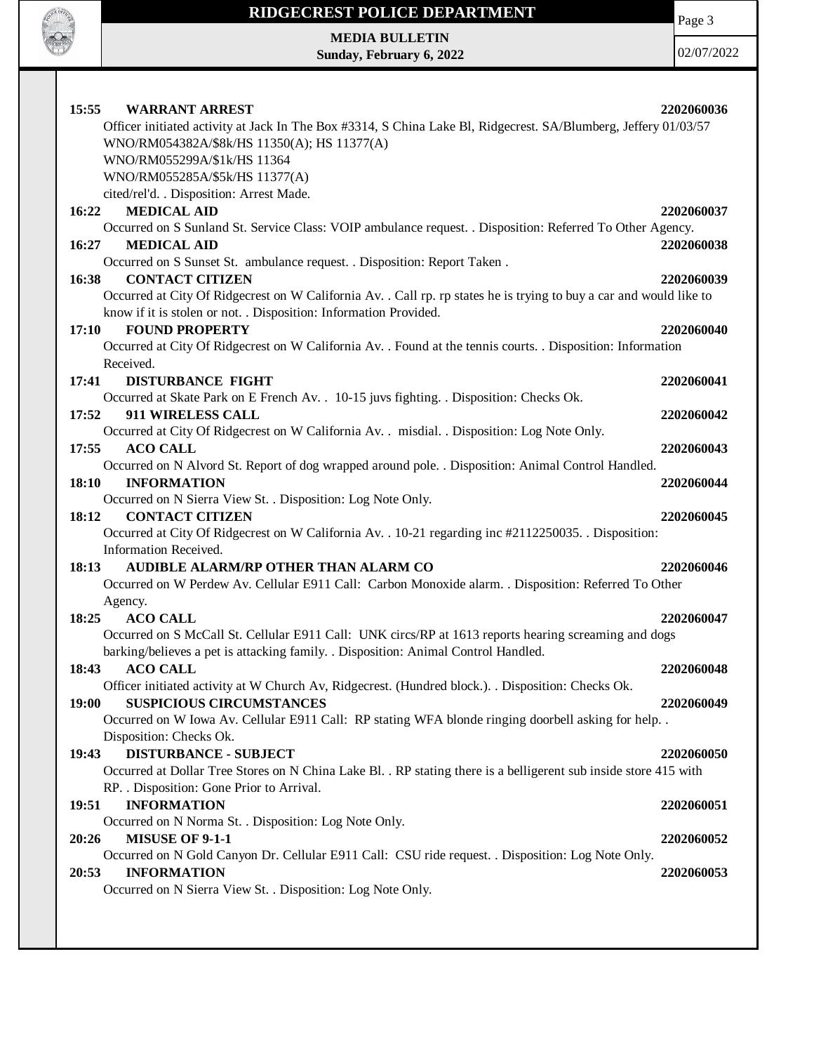

## **RIDGECREST POLICE DEPARTMENT**

Page 3

**MEDIA BULLETIN Sunday, February 6, 2022**

| 15:55<br><b>WARRANT ARREST</b>                                                                                                                                 | 2202060036 |
|----------------------------------------------------------------------------------------------------------------------------------------------------------------|------------|
| Officer initiated activity at Jack In The Box #3314, S China Lake Bl, Ridgecrest. SA/Blumberg, Jeffery 01/03/57<br>WNO/RM054382A/\$8k/HS 11350(A); HS 11377(A) |            |
| WNO/RM055299A/\$1k/HS 11364                                                                                                                                    |            |
| WNO/RM055285A/\$5k/HS 11377(A)                                                                                                                                 |            |
| cited/rel'd. . Disposition: Arrest Made.                                                                                                                       |            |
| <b>MEDICAL AID</b><br>16:22                                                                                                                                    | 2202060037 |
| Occurred on S Sunland St. Service Class: VOIP ambulance request. . Disposition: Referred To Other Agency.                                                      |            |
| 16:27<br><b>MEDICAL AID</b>                                                                                                                                    | 2202060038 |
| Occurred on S Sunset St. ambulance request. . Disposition: Report Taken.                                                                                       |            |
| 16:38<br><b>CONTACT CITIZEN</b>                                                                                                                                | 2202060039 |
| Occurred at City Of Ridgecrest on W California Av. . Call rp. rp states he is trying to buy a car and would like to                                            |            |
| know if it is stolen or not. . Disposition: Information Provided.                                                                                              |            |
| <b>FOUND PROPERTY</b><br>17:10                                                                                                                                 | 2202060040 |
| Occurred at City Of Ridgecrest on W California Av. . Found at the tennis courts. . Disposition: Information                                                    |            |
| Received.                                                                                                                                                      |            |
| 17:41<br><b>DISTURBANCE FIGHT</b>                                                                                                                              | 2202060041 |
| Occurred at Skate Park on E French Av. . 10-15 juvs fighting. . Disposition: Checks Ok.                                                                        |            |
| 911 WIRELESS CALL<br>17:52                                                                                                                                     | 2202060042 |
| Occurred at City Of Ridgecrest on W California Av. . misdial. . Disposition: Log Note Only.                                                                    |            |
| 17:55<br><b>ACO CALL</b>                                                                                                                                       | 2202060043 |
| Occurred on N Alvord St. Report of dog wrapped around pole. . Disposition: Animal Control Handled.                                                             |            |
| <b>INFORMATION</b><br>18:10                                                                                                                                    | 2202060044 |
| Occurred on N Sierra View St. . Disposition: Log Note Only.                                                                                                    |            |
| <b>CONTACT CITIZEN</b><br>18:12                                                                                                                                | 2202060045 |
| Occurred at City Of Ridgecrest on W California Av. . 10-21 regarding inc #2112250035. . Disposition:                                                           |            |
| Information Received.                                                                                                                                          |            |
| AUDIBLE ALARM/RP OTHER THAN ALARM CO<br>18:13                                                                                                                  | 2202060046 |
| Occurred on W Perdew Av. Cellular E911 Call: Carbon Monoxide alarm. . Disposition: Referred To Other                                                           |            |
| Agency.                                                                                                                                                        |            |
| <b>ACO CALL</b><br>18:25                                                                                                                                       | 2202060047 |
| Occurred on S McCall St. Cellular E911 Call: UNK circs/RP at 1613 reports hearing screaming and dogs                                                           |            |
| barking/believes a pet is attacking family. . Disposition: Animal Control Handled.                                                                             |            |
| <b>ACO CALL</b><br>18:43                                                                                                                                       | 2202060048 |
| Officer initiated activity at W Church Av, Ridgecrest. (Hundred block.). . Disposition: Checks Ok.                                                             |            |
| <b>SUSPICIOUS CIRCUMSTANCES</b><br>19:00                                                                                                                       | 2202060049 |
| Occurred on W Iowa Av. Cellular E911 Call: RP stating WFA blonde ringing doorbell asking for help. .                                                           |            |
| Disposition: Checks Ok.                                                                                                                                        |            |
| <b>DISTURBANCE - SUBJECT</b><br>19:43                                                                                                                          | 2202060050 |
| Occurred at Dollar Tree Stores on N China Lake Bl. . RP stating there is a belligerent sub inside store 415 with                                               |            |
| RP. . Disposition: Gone Prior to Arrival.                                                                                                                      |            |
| 19:51<br><b>INFORMATION</b>                                                                                                                                    | 2202060051 |
| Occurred on N Norma St. . Disposition: Log Note Only.                                                                                                          |            |
| <b>MISUSE OF 9-1-1</b><br>20:26                                                                                                                                | 2202060052 |
| Occurred on N Gold Canyon Dr. Cellular E911 Call: CSU ride request. . Disposition: Log Note Only.<br><b>INFORMATION</b>                                        |            |
| 20:53                                                                                                                                                          | 2202060053 |
| Occurred on N Sierra View St. . Disposition: Log Note Only.                                                                                                    |            |
|                                                                                                                                                                |            |
|                                                                                                                                                                |            |